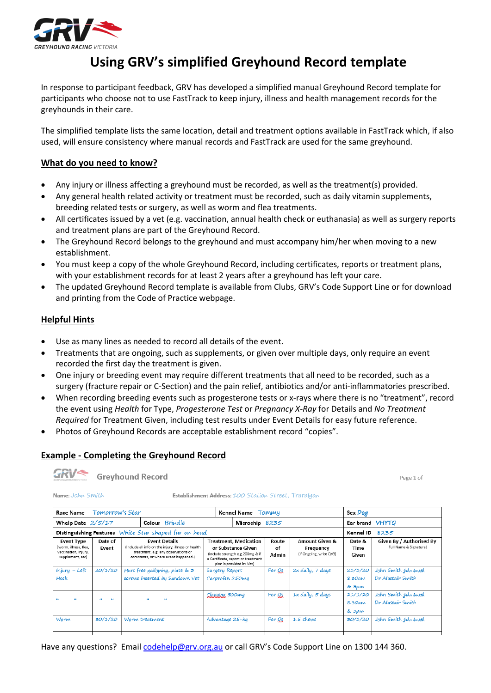

# **Using GRV's simplified Greyhound Record template**

In response to participant feedback, GRV has developed a simplified manual Greyhound Record template for participants who choose not to use FastTrack to keep injury, illness and health management records for the greyhounds in their care.

The simplified template lists the same location, detail and treatment options available in FastTrack which, if also used, will ensure consistency where manual records and FastTrack are used for the same greyhound.

## **What do you need to know?**

- Any injury or illness affecting a greyhound must be recorded, as well as the treatment(s) provided.
- Any general health related activity or treatment must be recorded, such as daily vitamin supplements, breeding related tests or surgery, as well as worm and flea treatments.
- All certificates issued by a vet (e.g. vaccination, annual health check or euthanasia) as well as surgery reports and treatment plans are part of the Greyhound Record.
- The Greyhound Record belongs to the greyhound and must accompany him/her when moving to a new establishment.
- You must keep a copy of the whole Greyhound Record, including certificates, reports or treatment plans, with your establishment records for at least 2 years after a greyhound has left your care.
- The updated Greyhound Record template is available from Clubs, GRV's Code Support Line or for download and printing from the Code of Practice webpage.

## **Helpful Hints**

- Use as many lines as needed to record all details of the event.
- Treatments that are ongoing, such as supplements, or given over multiple days, only require an event recorded the first day the treatment is given.
- One injury or breeding event may require different treatments that all need to be recorded, such as a surgery (fracture repair or C-Section) and the pain relief, antibiotics and/or anti-inflammatories prescribed.
- When recording breeding events such as progesterone tests or x-rays where there is no "treatment", record the event using *Health* for Type, *Progesterone Test* or *Pregnancy X-Ray* for Details and *No Treatment Required* for Treatment Given, including test results under Event Details for easy future reference.
- Photos of Greyhound Records are acceptable establishment record "copies".

### **Example - Completing the Greyhound Record**



**Grevhound Record** 

Page 1 of

Name: John Smith

#### Establishment Address: 100 Station Street. Traralaon

| Tomorrow's Star<br>Race Name                                                           |                                     |                                                                                                                                                          | Kennel Name Tommy                                                                                                                                        |                      |                                                        | Sex Dog                    |                                                     |  |
|----------------------------------------------------------------------------------------|-------------------------------------|----------------------------------------------------------------------------------------------------------------------------------------------------------|----------------------------------------------------------------------------------------------------------------------------------------------------------|----------------------|--------------------------------------------------------|----------------------------|-----------------------------------------------------|--|
| Colour Brindle<br>Whelp Date $2/5/17$                                                  |                                     |                                                                                                                                                          | Microchip 8235                                                                                                                                           |                      |                                                        | Ear brand VHYTG            |                                                     |  |
| Distinguishing Features White Star shaped fur on head<br>Kennel ID<br>8235             |                                     |                                                                                                                                                          |                                                                                                                                                          |                      |                                                        |                            |                                                     |  |
| <b>Event Type</b><br>(worm, illness, flea,<br>vaccination, Injury,<br>supplement, etc) | Date of<br>Event                    | <b>Event Details</b><br>(Include all info on the injury, illness or health<br>treatment. e.g. any observations or<br>comments, or where event happened.) | <b>Treatment, Medication</b><br>or Substance Given<br>(include strength e.g.200mg & if<br>a Certificate, report or treatment<br>plan is provided by Vet) | Route<br>of<br>Admin | Amount Given &<br>Frequency<br>(if Ongoing, write O/G) | Date &<br>Time<br>Given    | Given By / Authorised By<br>(Full Name & Signature) |  |
| $Injury - Left$<br>Hock                                                                | 20/1/20                             | Hurt free galloping, plate & $\overline{5}$<br>screws inserted by Sandown Vet                                                                            | Surgery Report<br>Carprofen 250mg                                                                                                                        | Per Os               | 2x daily, 7 days                                       | 21/1/20<br>8.30am<br>& 3pm | John Smith John South<br>Dr Alastair Smith          |  |
| $c\bar{c}$<br>$\leq C$                                                                 | $^{12}$<br>$\mathbf{c}\,\mathbf{c}$ | <b>CG</b><br>$C \subseteq$                                                                                                                               | Clavulox 500mg                                                                                                                                           | Per Os               | $1x$ daily, $5$ days                                   | 21/1/20<br>8.30am<br>& 3pm | John Smith John South<br>Dr Alastair Smith          |  |
| Worm                                                                                   | 30/1/20                             | Worm treatment                                                                                                                                           | Advantage 25+kg                                                                                                                                          | Per Os               | 1.5 chews                                              | 30/1/20                    | John Smith Ishnsouth                                |  |

Have any questions? Emai[l codehelp@grv.org.au](mailto:racingservices@grv.org.au) or call GRV's Code Support Line on 1300 144 360.